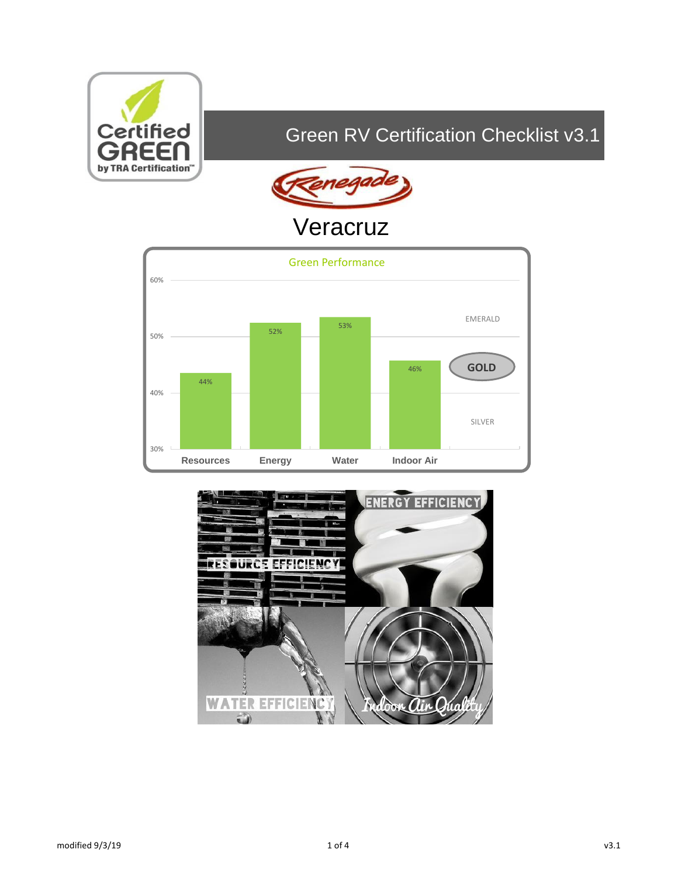

# Green RV Certification Checklist v3.1



# Veracruz



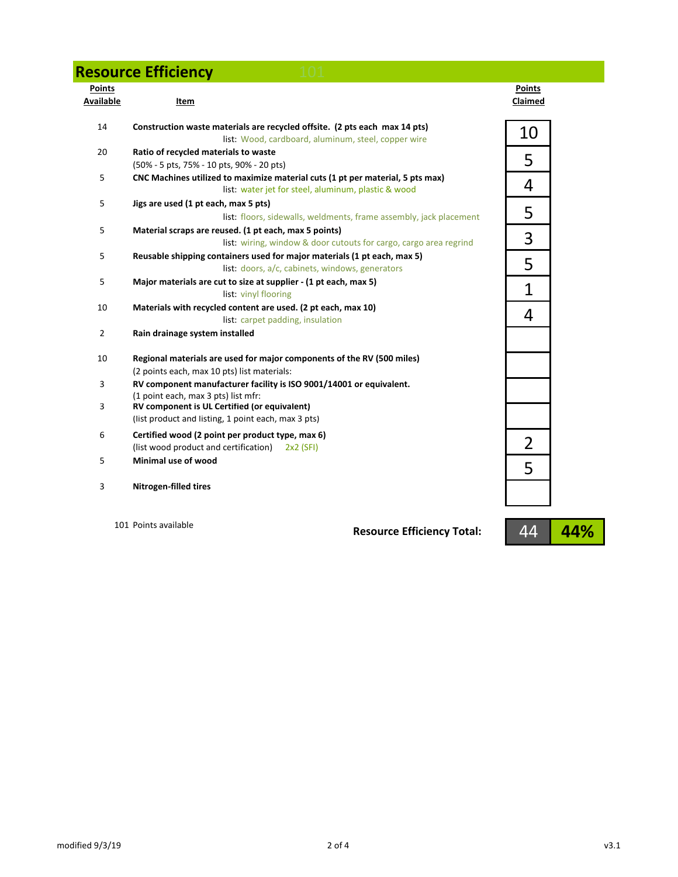### **Resource Efficiency 101**

|  | <b>Contract Contract Contract Contract</b> |  |
|--|--------------------------------------------|--|
|  |                                            |  |
|  |                                            |  |
|  |                                            |  |

| <b>Points</b><br>Available | Item                                                                                                                                  | <b>Points</b><br>Claimed |
|----------------------------|---------------------------------------------------------------------------------------------------------------------------------------|--------------------------|
| 14                         | Construction waste materials are recycled offsite. (2 pts each max 14 pts)<br>list: Wood, cardboard, aluminum, steel, copper wire     | 10                       |
| 20                         | Ratio of recycled materials to waste<br>(50% - 5 pts, 75% - 10 pts, 90% - 20 pts)                                                     | 5                        |
| 5                          | CNC Machines utilized to maximize material cuts (1 pt per material, 5 pts max)<br>list: water jet for steel, aluminum, plastic & wood | 4                        |
| 5                          | Jigs are used (1 pt each, max 5 pts)<br>list: floors, sidewalls, weldments, frame assembly, jack placement                            | 5                        |
| 5                          | Material scraps are reused. (1 pt each, max 5 points)<br>list: wiring, window & door cutouts for cargo, cargo area regrind            | 3                        |
| 5                          | Reusable shipping containers used for major materials (1 pt each, max 5)<br>list: doors, a/c, cabinets, windows, generators           | 5                        |
| 5                          | Major materials are cut to size at supplier - (1 pt each, max 5)<br>list: vinyl flooring                                              | $\overline{1}$           |
| 10                         | Materials with recycled content are used. (2 pt each, max 10)<br>list: carpet padding, insulation                                     | 4                        |
| $\overline{2}$             | Rain drainage system installed                                                                                                        |                          |
| 10                         | Regional materials are used for major components of the RV (500 miles)<br>(2 points each, max 10 pts) list materials:                 |                          |
| 3                          | RV component manufacturer facility is ISO 9001/14001 or equivalent.<br>(1 point each, max 3 pts) list mfr:                            |                          |
| 3                          | RV component is UL Certified (or equivalent)<br>(list product and listing, 1 point each, max 3 pts)                                   |                          |
| 6                          | Certified wood (2 point per product type, max 6)<br>(list wood product and certification) 2x2 (SFI)                                   | $\overline{2}$           |
| 5                          | Minimal use of wood                                                                                                                   | 5                        |
| 3                          | <b>Nitrogen-filled tires</b>                                                                                                          |                          |

101 Points available

**Resource Efficiency Total:**

44 **44%**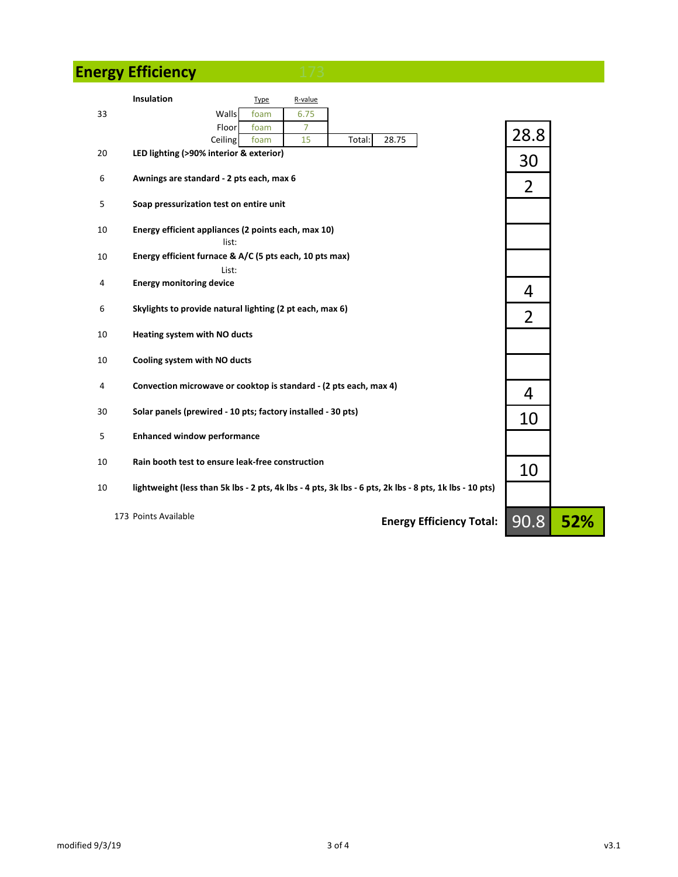## **Energy Efficiency**

|    | Insulation                                                        | Type | R-value        |                                                                                                         |                |     |
|----|-------------------------------------------------------------------|------|----------------|---------------------------------------------------------------------------------------------------------|----------------|-----|
| 33 | Walls                                                             | foam | 6.75           |                                                                                                         |                |     |
|    | Floor                                                             | foam | $\overline{7}$ |                                                                                                         |                |     |
|    | Ceiling                                                           | foam | 15             | 28.75<br>Total:                                                                                         | 28.8           |     |
| 20 | LED lighting (>90% interior & exterior)                           |      |                |                                                                                                         | 30             |     |
| 6  | Awnings are standard - 2 pts each, max 6                          |      |                |                                                                                                         | $\overline{2}$ |     |
| 5  | Soap pressurization test on entire unit                           |      |                |                                                                                                         |                |     |
| 10 | Energy efficient appliances (2 points each, max 10)<br>list:      |      |                |                                                                                                         |                |     |
| 10 | Energy efficient furnace & A/C (5 pts each, 10 pts max)<br>List:  |      |                |                                                                                                         |                |     |
| 4  | <b>Energy monitoring device</b>                                   |      |                |                                                                                                         | 4              |     |
| 6  | Skylights to provide natural lighting (2 pt each, max 6)          |      |                |                                                                                                         | $\overline{2}$ |     |
| 10 | Heating system with NO ducts                                      |      |                |                                                                                                         |                |     |
| 10 | Cooling system with NO ducts                                      |      |                |                                                                                                         |                |     |
| 4  | Convection microwave or cooktop is standard - (2 pts each, max 4) |      |                |                                                                                                         | 4              |     |
| 30 | Solar panels (prewired - 10 pts; factory installed - 30 pts)      |      |                |                                                                                                         | 10             |     |
| 5  | <b>Enhanced window performance</b>                                |      |                |                                                                                                         |                |     |
| 10 | Rain booth test to ensure leak-free construction                  |      |                |                                                                                                         | 10             |     |
| 10 |                                                                   |      |                | lightweight (less than 5k lbs - 2 pts, 4k lbs - 4 pts, 3k lbs - 6 pts, 2k lbs - 8 pts, 1k lbs - 10 pts) |                |     |
|    | 173 Points Available                                              |      |                | <b>Energy Efficiency Total:</b>                                                                         | 90.8           | 52% |